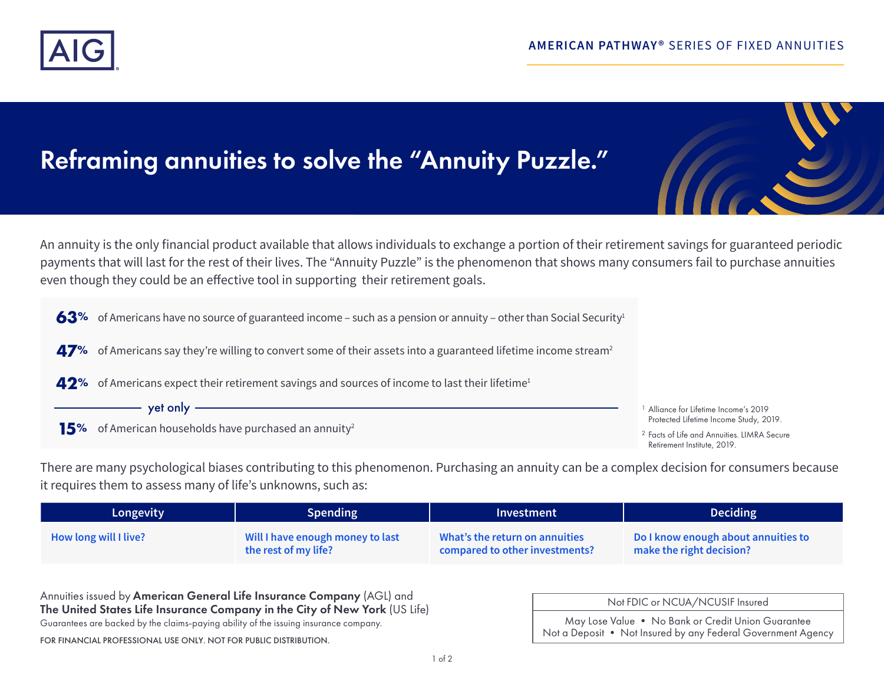

# Reframing annuities to solve the "Annuity Puzzle."



An annuity is the only financial product available that allows individuals to exchange a portion of their retirement savings for guaranteed periodic payments that will last for the rest of their lives. The "Annuity Puzzle" is the phenomenon that shows many consumers fail to purchase annuities even though they could be an effective tool in supporting their retirement goals.



There are many psychological biases contributing to this phenomenon. Purchasing an annuity can be a complex decision for consumers because it requires them to assess many of life's unknowns, such as:

| Longevity             | Spending                         | Investment                     | <b>Deciding</b>                     |
|-----------------------|----------------------------------|--------------------------------|-------------------------------------|
| How long will I live? | Will I have enough money to last | What's the return on annuities | Do I know enough about annuities to |
|                       | the rest of my life?             | compared to other investments? | make the right decision?            |

Annuities issued by American General Life Insurance Company (AGL) and The United States Life Insurance Company in the City of New York (US Life)

Guarantees are backed by the claims-paying ability of the issuing insurance company.

FOR FINANCIAL PROFESSIONAL USE ONLY. NOT FOR PUBLIC DISTRIBUTION.

| Not FDIC or NCUA/NCUSIF Insured                                                                                    |  |  |
|--------------------------------------------------------------------------------------------------------------------|--|--|
| May Lose Value . No Bank or Credit Union Guarantee<br>Not a Deposit • Not Insured by any Federal Government Agency |  |  |